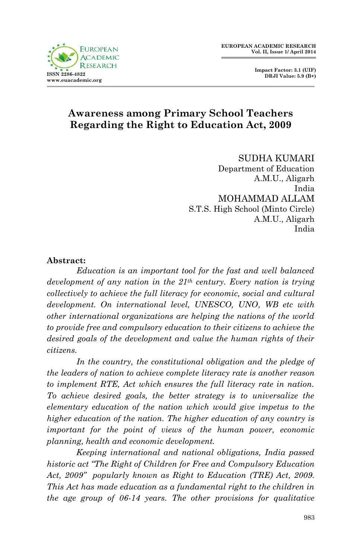



# **Awareness among Primary School Teachers Regarding the Right to Education Act, 2009**

SUDHA KUMARI Department of Education A.M.U., Aligarh India MOHAMMAD ALLAM S.T.S. High School (Minto Circle) A.M.U., Aligarh India

#### **Abstract:**

*Education is an important tool for the fast and well balanced development of any nation in the 21th century. Every nation is trying collectively to achieve the full literacy for economic, social and cultural development. On international level, UNESCO, UNO, WB etc with other international organizations are helping the nations of the world to provide free and compulsory education to their citizens to achieve the desired goals of the development and value the human rights of their citizens.*

In the country, the constitutional obligation and the pledge of *the leaders of nation to achieve complete literacy rate is another reason to implement RTE, Act which ensures the full literacy rate in nation. To achieve desired goals, the better strategy is to universalize the elementary education of the nation which would give impetus to the higher education of the nation. The higher education of any country is important for the point of views of the human power, economic planning, health and economic development.*

*Keeping international and national obligations, India passed historic act "The Right of Children for Free and Compulsory Education Act, 2009" popularly known as Right to Education (TRE) Act, 2009. This Act has made education as a fundamental right to the children in the age group of 06-14 years. The other provisions for qualitative*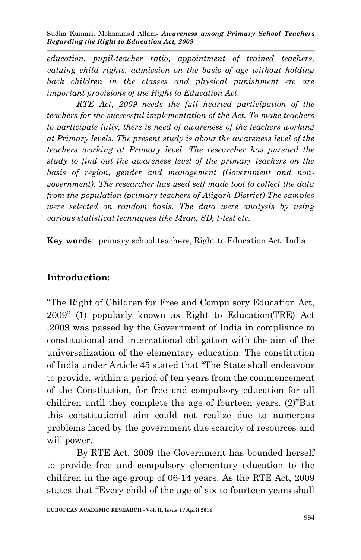*education, pupil-teacher ratio, appointment of trained teachers, valuing child rights, admission on the basis of age without holding back children in the classes and physical punishment etc are important provisions of the Right to Education Act.*

*RTE Act, 2009 needs the full hearted participation of the teachers for the successful implementation of the Act. To make teachers to participate fully, there is need of awareness of the teachers working at Primary levels. The present study is about the awareness level of the teachers working at Primary level. The researcher has pursued the study to find out the awareness level of the primary teachers on the basis of region, gender and management (Government and nongovernment). The researcher has used self made tool to collect the data from the population (primary teachers of Aligarh District) The samples were selected on random basis. The data were analysis by using various statistical techniques like Mean, SD, t-test etc.* 

**Key words**: primary school teachers, Right to Education Act, India.

#### **Introduction:**

"The Right of Children for Free and Compulsory Education Act, 2009" (1) popularly known as Right to Education(TRE) Act ,2009 was passed by the Government of India in compliance to constitutional and international obligation with the aim of the universalization of the elementary education. The constitution of India under Article 45 stated that "The State shall endeavour to provide, within a period of ten years from the commencement of the Constitution, for free and compulsory education for all children until they complete the age of fourteen years. (2)"But this constitutional aim could not realize due to numerous problems faced by the government due scarcity of resources and will power.

By RTE Act, 2009 the Government has bounded herself to provide free and compulsory elementary education to the children in the age group of 06-14 years. As the RTE Act, 2009 states that "Every child of the age of six to fourteen years shall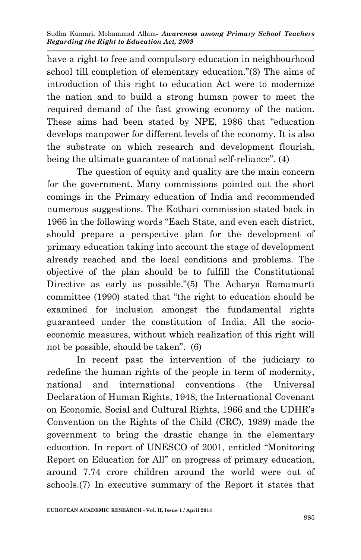have a right to free and compulsory education in neighbourhood school till completion of elementary education."(3) The aims of introduction of this right to education Act were to modernize the nation and to build a strong human power to meet the required demand of the fast growing economy of the nation. These aims had been stated by NPE, 1986 that "education develops manpower for different levels of the economy. It is also the substrate on which research and development flourish, being the ultimate guarantee of national self-reliance". (4)

The question of equity and quality are the main concern for the government. Many commissions pointed out the short comings in the Primary education of India and recommended numerous suggestions. The Kothari commission stated back in 1966 in the following words "Each State, and even each district, should prepare a perspective plan for the development of primary education taking into account the stage of development already reached and the local conditions and problems. The objective of the plan should be to fulfill the Constitutional Directive as early as possible."(5) The Acharya Ramamurti committee (1990) stated that "the right to education should be examined for inclusion amongst the fundamental rights guaranteed under the constitution of India. All the socioeconomic measures, without which realization of this right will not be possible, should be taken". (6)

In recent past the intervention of the judiciary to redefine the human rights of the people in term of modernity, national and international conventions (the Universal Declaration of Human Rights, 1948, the International Covenant on Economic, Social and Cultural Rights, 1966 and the UDHR's Convention on the Rights of the Child (CRC), 1989) made the government to bring the drastic change in the elementary education. In report of UNESCO of 2001, entitled "Monitoring Report on Education for All" on progress of primary education, around 7.74 crore children around the world were out of schools.(7) In executive summary of the Report it states that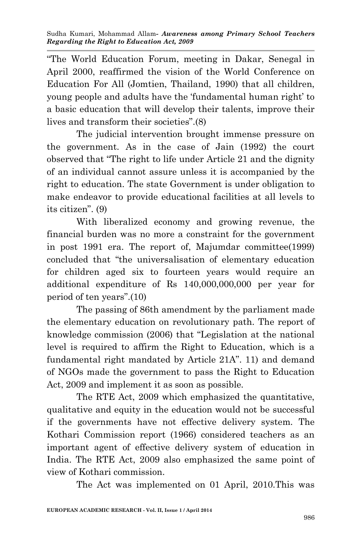"The World Education Forum, meeting in Dakar, Senegal in April 2000, reaffirmed the vision of the World Conference on Education For All (Jomtien, Thailand, 1990) that all children, young people and adults have the 'fundamental human right' to a basic education that will develop their talents, improve their lives and transform their societies".(8)

The judicial intervention brought immense pressure on the government. As in the case of Jain (1992) the court observed that "The right to life under Article 21 and the dignity of an individual cannot assure unless it is accompanied by the right to education. The state Government is under obligation to make endeavor to provide educational facilities at all levels to its citizen". (9)

With liberalized economy and growing revenue, the financial burden was no more a constraint for the government in post 1991 era. The report of, Majumdar committee(1999) concluded that "the universalisation of elementary education for children aged six to fourteen years would require an additional expenditure of Rs 140,000,000,000 per year for period of ten years".(10)

The passing of 86th amendment by the parliament made the elementary education on revolutionary path. The report of knowledge commission (2006) that "Legislation at the national level is required to affirm the Right to Education, which is a fundamental right mandated by Article 21A". 11) and demand of NGOs made the government to pass the Right to Education Act, 2009 and implement it as soon as possible.

The RTE Act, 2009 which emphasized the quantitative, qualitative and equity in the education would not be successful if the governments have not effective delivery system. The Kothari Commission report (1966) considered teachers as an important agent of effective delivery system of education in India. The RTE Act, 2009 also emphasized the same point of view of Kothari commission.

The Act was implemented on 01 April, 2010.This was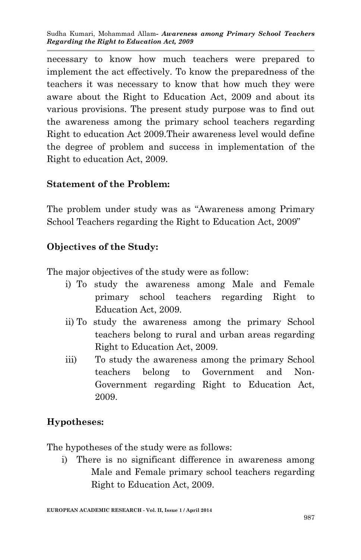necessary to know how much teachers were prepared to implement the act effectively. To know the preparedness of the teachers it was necessary to know that how much they were aware about the Right to Education Act, 2009 and about its various provisions. The present study purpose was to find out the awareness among the primary school teachers regarding Right to education Act 2009.Their awareness level would define the degree of problem and success in implementation of the Right to education Act, 2009.

### **Statement of the Problem:**

The problem under study was as "Awareness among Primary School Teachers regarding the Right to Education Act, 2009"

### **Objectives of the Study:**

The major objectives of the study were as follow:

- i) To study the awareness among Male and Female primary school teachers regarding Right to Education Act, 2009.
- ii) To study the awareness among the primary School teachers belong to rural and urban areas regarding Right to Education Act, 2009.
- iii) To study the awareness among the primary School teachers belong to Government and Non-Government regarding Right to Education Act, 2009.

### **Hypotheses:**

The hypotheses of the study were as follows:

i) There is no significant difference in awareness among Male and Female primary school teachers regarding Right to Education Act, 2009.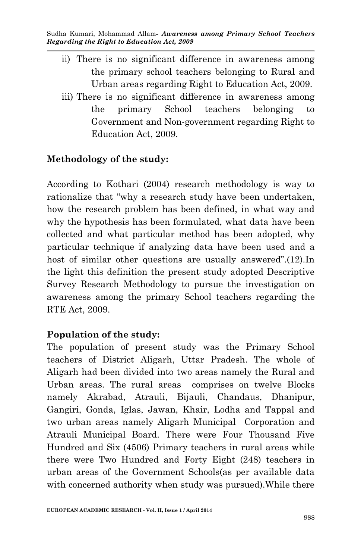- ii) There is no significant difference in awareness among the primary school teachers belonging to Rural and Urban areas regarding Right to Education Act, 2009.
- iii) There is no significant difference in awareness among the primary School teachers belonging to Government and Non-government regarding Right to Education Act, 2009.

# **Methodology of the study:**

According to Kothari (2004) research methodology is way to rationalize that "why a research study have been undertaken, how the research problem has been defined, in what way and why the hypothesis has been formulated, what data have been collected and what particular method has been adopted, why particular technique if analyzing data have been used and a host of similar other questions are usually answered".(12).In the light this definition the present study adopted Descriptive Survey Research Methodology to pursue the investigation on awareness among the primary School teachers regarding the RTE Act, 2009.

### **Population of the study:**

The population of present study was the Primary School teachers of District Aligarh, Uttar Pradesh. The whole of Aligarh had been divided into two areas namely the Rural and Urban areas. The rural areas comprises on twelve Blocks namely Akrabad, Atrauli, Bijauli, Chandaus, Dhanipur, Gangiri, Gonda, Iglas, Jawan, Khair, Lodha and Tappal and two urban areas namely Aligarh Municipal Corporation and Atrauli Municipal Board. There were Four Thousand Five Hundred and Six (4506) Primary teachers in rural areas while there were Two Hundred and Forty Eight (248) teachers in urban areas of the Government Schools(as per available data with concerned authority when study was pursued).While there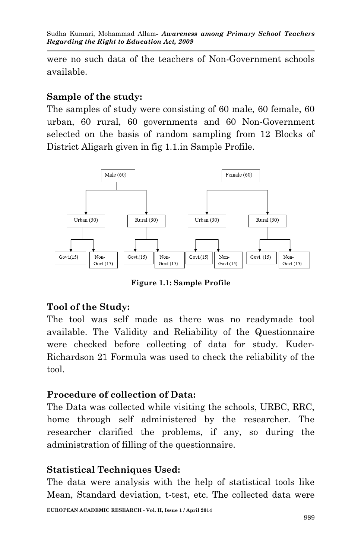were no such data of the teachers of Non-Government schools available.

#### **Sample of the study:**

The samples of study were consisting of 60 male, 60 female, 60 urban, 60 rural, 60 governments and 60 Non-Government selected on the basis of random sampling from 12 Blocks of District Aligarh given in fig 1.1.in Sample Profile.



**Figure 1.1: Sample Profile**

### **Tool of the Study:**

The tool was self made as there was no readymade tool available. The Validity and Reliability of the Questionnaire were checked before collecting of data for study. Kuder-Richardson 21 Formula was used to check the reliability of the tool.

### **Procedure of collection of Data:**

The Data was collected while visiting the schools, URBC, RRC, home through self administered by the researcher. The researcher clarified the problems, if any, so during the administration of filling of the questionnaire.

### **Statistical Techniques Used:**

The data were analysis with the help of statistical tools like Mean, Standard deviation, t-test, etc. The collected data were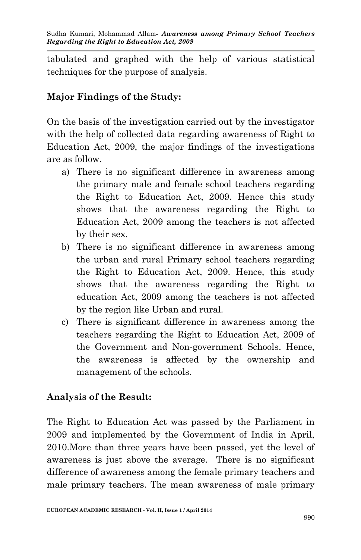tabulated and graphed with the help of various statistical techniques for the purpose of analysis.

# **Major Findings of the Study:**

On the basis of the investigation carried out by the investigator with the help of collected data regarding awareness of Right to Education Act, 2009, the major findings of the investigations are as follow.

- a) There is no significant difference in awareness among the primary male and female school teachers regarding the Right to Education Act, 2009. Hence this study shows that the awareness regarding the Right to Education Act, 2009 among the teachers is not affected by their sex.
- b) There is no significant difference in awareness among the urban and rural Primary school teachers regarding the Right to Education Act, 2009. Hence, this study shows that the awareness regarding the Right to education Act, 2009 among the teachers is not affected by the region like Urban and rural.
- c) There is significant difference in awareness among the teachers regarding the Right to Education Act, 2009 of the Government and Non-government Schools. Hence, the awareness is affected by the ownership and management of the schools.

### **Analysis of the Result:**

The Right to Education Act was passed by the Parliament in 2009 and implemented by the Government of India in April, 2010.More than three years have been passed, yet the level of awareness is just above the average. There is no significant difference of awareness among the female primary teachers and male primary teachers. The mean awareness of male primary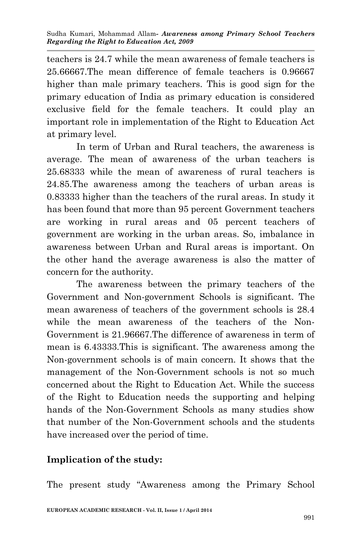teachers is 24.7 while the mean awareness of female teachers is 25.66667.The mean difference of female teachers is 0.96667 higher than male primary teachers. This is good sign for the primary education of India as primary education is considered exclusive field for the female teachers. It could play an important role in implementation of the Right to Education Act at primary level.

In term of Urban and Rural teachers, the awareness is average. The mean of awareness of the urban teachers is 25.68333 while the mean of awareness of rural teachers is 24.85.The awareness among the teachers of urban areas is 0.83333 higher than the teachers of the rural areas. In study it has been found that more than 95 percent Government teachers are working in rural areas and 05 percent teachers of government are working in the urban areas. So, imbalance in awareness between Urban and Rural areas is important. On the other hand the average awareness is also the matter of concern for the authority.

The awareness between the primary teachers of the Government and Non-government Schools is significant. The mean awareness of teachers of the government schools is 28.4 while the mean awareness of the teachers of the Non-Government is 21.96667.The difference of awareness in term of mean is 6.43333.This is significant. The awareness among the Non-government schools is of main concern. It shows that the management of the Non-Government schools is not so much concerned about the Right to Education Act. While the success of the Right to Education needs the supporting and helping hands of the Non-Government Schools as many studies show that number of the Non-Government schools and the students have increased over the period of time.

### **Implication of the study:**

The present study "Awareness among the Primary School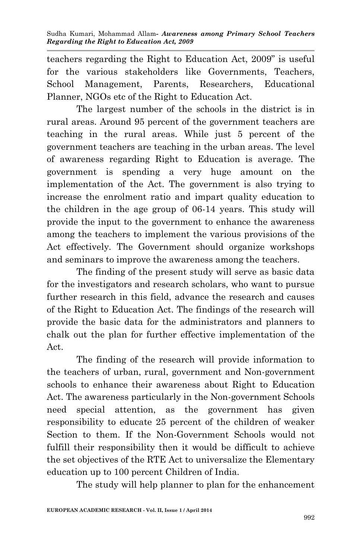teachers regarding the Right to Education Act, 2009" is useful for the various stakeholders like Governments, Teachers, School Management, Parents, Researchers, Educational Planner, NGOs etc of the Right to Education Act.

The largest number of the schools in the district is in rural areas. Around 95 percent of the government teachers are teaching in the rural areas. While just 5 percent of the government teachers are teaching in the urban areas. The level of awareness regarding Right to Education is average. The government is spending a very huge amount on the implementation of the Act. The government is also trying to increase the enrolment ratio and impart quality education to the children in the age group of 06-14 years. This study will provide the input to the government to enhance the awareness among the teachers to implement the various provisions of the Act effectively. The Government should organize workshops and seminars to improve the awareness among the teachers.

The finding of the present study will serve as basic data for the investigators and research scholars, who want to pursue further research in this field, advance the research and causes of the Right to Education Act. The findings of the research will provide the basic data for the administrators and planners to chalk out the plan for further effective implementation of the Act.

The finding of the research will provide information to the teachers of urban, rural, government and Non-government schools to enhance their awareness about Right to Education Act. The awareness particularly in the Non-government Schools need special attention, as the government has given responsibility to educate 25 percent of the children of weaker Section to them. If the Non-Government Schools would not fulfill their responsibility then it would be difficult to achieve the set objectives of the RTE Act to universalize the Elementary education up to 100 percent Children of India.

The study will help planner to plan for the enhancement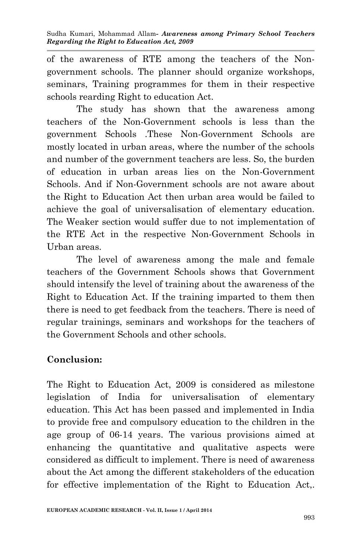of the awareness of RTE among the teachers of the Nongovernment schools. The planner should organize workshops, seminars, Training programmes for them in their respective schools rearding Right to education Act.

The study has shown that the awareness among teachers of the Non-Government schools is less than the government Schools .These Non-Government Schools are mostly located in urban areas, where the number of the schools and number of the government teachers are less. So, the burden of education in urban areas lies on the Non-Government Schools. And if Non-Government schools are not aware about the Right to Education Act then urban area would be failed to achieve the goal of universalisation of elementary education. The Weaker section would suffer due to not implementation of the RTE Act in the respective Non-Government Schools in Urban areas.

The level of awareness among the male and female teachers of the Government Schools shows that Government should intensify the level of training about the awareness of the Right to Education Act. If the training imparted to them then there is need to get feedback from the teachers. There is need of regular trainings, seminars and workshops for the teachers of the Government Schools and other schools.

### **Conclusion:**

The Right to Education Act, 2009 is considered as milestone legislation of India for universalisation of elementary education. This Act has been passed and implemented in India to provide free and compulsory education to the children in the age group of 06-14 years. The various provisions aimed at enhancing the quantitative and qualitative aspects were considered as difficult to implement. There is need of awareness about the Act among the different stakeholders of the education for effective implementation of the Right to Education Act,.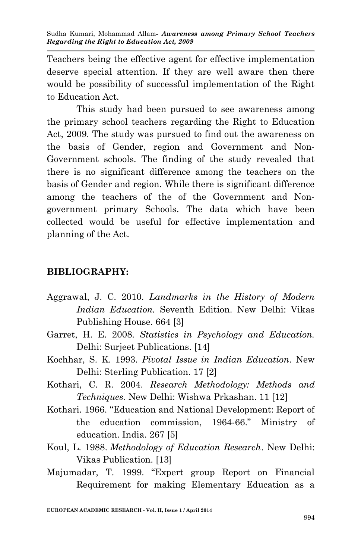Teachers being the effective agent for effective implementation deserve special attention. If they are well aware then there would be possibility of successful implementation of the Right to Education Act.

This study had been pursued to see awareness among the primary school teachers regarding the Right to Education Act, 2009. The study was pursued to find out the awareness on the basis of Gender, region and Government and Non-Government schools. The finding of the study revealed that there is no significant difference among the teachers on the basis of Gender and region. While there is significant difference among the teachers of the of the Government and Nongovernment primary Schools. The data which have been collected would be useful for effective implementation and planning of the Act.

### **BIBLIOGRAPHY:**

- Aggrawal, J. C. 2010. *Landmarks in the History of Modern Indian Education.* Seventh Edition. New Delhi: Vikas Publishing House. 664 [3]
- Garret, H. E. 2008. *Statistics in Psychology and Education.* Delhi: Surjeet Publications. [14]
- Kochhar, S. K. 1993. *Pivotal Issue in Indian Education*. New Delhi: Sterling Publication. 17 [2]
- Kothari, C. R. 2004. *Research Methodology: Methods and Techniques.* New Delhi: Wishwa Prkashan. 11 [12]
- Kothari. 1966. "Education and National Development: Report of the education commission, 1964-66." Ministry of education. India. 267 [5]
- Koul, L. 1988. *Methodology of Education Research*. New Delhi: Vikas Publication. [13]
- Majumadar, T. 1999. "Expert group Report on Financial Requirement for making Elementary Education as a